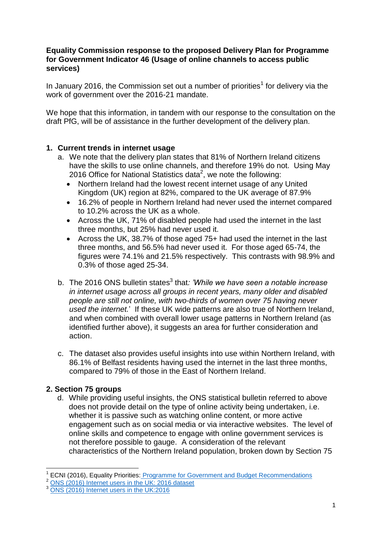### **Equality Commission response to the proposed Delivery Plan for Programme for Government Indicator 46 (Usage of online channels to access public services)**

In January 2016, the Commission set out a number of priorities<sup>1</sup> for delivery via the work of government over the 2016-21 mandate.

We hope that this information, in tandem with our response to the consultation on the draft PfG, will be of assistance in the further development of the delivery plan.

# **1. Current trends in internet usage**

- a. We note that the delivery plan states that 81% of Northern Ireland citizens have the skills to use online channels, and therefore 19% do not. Using May 2016 Office for National Statistics data<sup>2</sup>, we note the following:
	- Northern Ireland had the lowest recent internet usage of any United Kingdom (UK) region at 82%, compared to the UK average of 87.9%
	- 16.2% of people in Northern Ireland had never used the internet compared to 10.2% across the UK as a whole.
	- Across the UK, 71% of disabled people had used the internet in the last three months, but 25% had never used it.
	- Across the UK, 38.7% of those aged 75+ had used the internet in the last three months, and 56.5% had never used it. For those aged 65-74, the figures were 74.1% and 21.5% respectively. This contrasts with 98.9% and 0.3% of those aged 25-34.
- b. The 2016 ONS bulletin states<sup>3</sup> that*: 'While we have seen a notable increase in internet usage across all groups in recent years, many older and disabled people are still not online, with two-thirds of women over 75 having never used the internet.*' If these UK wide patterns are also true of Northern Ireland, and when combined with overall lower usage patterns in Northern Ireland (as identified further above), it suggests an area for further consideration and action.
- c. The dataset also provides useful insights into use within Northern Ireland, with 86.1% of Belfast residents having used the internet in the last three months, compared to 79% of those in the East of Northern Ireland.

### **2. Section 75 groups**

d. While providing useful insights, the ONS statistical bulletin referred to above does not provide detail on the type of online activity being undertaken, i.e. whether it is passive such as watching online content, or more active engagement such as on social media or via interactive websites. The level of online skills and competence to engage with online government services is not therefore possible to gauge. A consideration of the relevant characteristics of the Northern Ireland population, broken down by Section 75

 $\overline{\phantom{a}}$ 1 ECNI (2016), Equality Priorities: [Programme for Government and Budget Recommendations](http://www.equalityni.org/ECNI/media/ECNI/Publications/Delivering%20Equality/PfG-Recommendations/PfG-Recommendations-Summary.pdf) 

<sup>2</sup> [ONS \(2016\) Internet users in the UK: 2016 dataset](https://www.ons.gov.uk/file?uri=/businessindustryandtrade/itandinternetindustry/datasets/internetusers/current/internetusers2016datatables.xls)

<sup>3</sup> [ONS \(2016\) Internet users in the UK:2016](https://www.ons.gov.uk/businessindustryandtrade/itandinternetindustry/bulletins/internetusers/2016/pdf)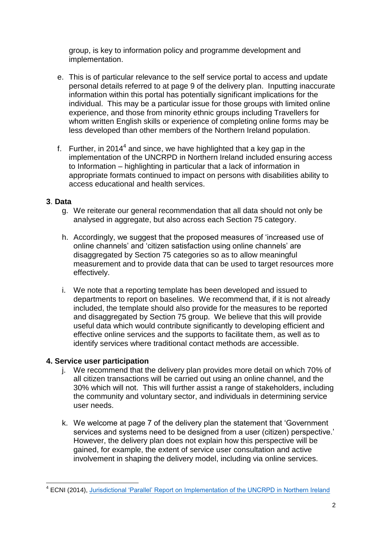group, is key to information policy and programme development and implementation.

- e. This is of particular relevance to the self service portal to access and update personal details referred to at page 9 of the delivery plan. Inputting inaccurate information within this portal has potentially significant implications for the individual. This may be a particular issue for those groups with limited online experience, and those from minority ethnic groups including Travellers for whom written English skills or experience of completing online forms may be less developed than other members of the Northern Ireland population.
- f. Further, in 2014<sup>4</sup> and since, we have highlighted that a key gap in the implementation of the UNCRPD in Northern Ireland included ensuring access to Information – highlighting in particular that a lack of information in appropriate formats continued to impact on persons with disabilities ability to access educational and health services.

## **3**. **Data**

- g. We reiterate our general recommendation that all data should not only be analysed in aggregate, but also across each Section 75 category.
- h. Accordingly, we suggest that the proposed measures of 'increased use of online channels' and 'citizen satisfaction using online channels' are disaggregated by Section 75 categories so as to allow meaningful measurement and to provide data that can be used to target resources more effectively.
- i. We note that a reporting template has been developed and issued to departments to report on baselines. We recommend that, if it is not already included, the template should also provide for the measures to be reported and disaggregated by Section 75 group. We believe that this will provide useful data which would contribute significantly to developing efficient and effective online services and the supports to facilitate them, as well as to identify services where traditional contact methods are accessible.

# **4. Service user participation**

- j. We recommend that the delivery plan provides more detail on which 70% of all citizen transactions will be carried out using an online channel, and the 30% which will not. This will further assist a range of stakeholders, including the community and voluntary sector, and individuals in determining service user needs.
- k. We welcome at page 7 of the delivery plan the statement that 'Government services and systems need to be designed from a user (citizen) perspective.' However, the delivery plan does not explain how this perspective will be gained, for example, the extent of service user consultation and active involvement in shaping the delivery model, including via online services.

 4 ECNI (2014), [Jurisdictional 'Parallel' Report on Implementation of the UNCRPD in Northern Ireland](http://www.equalityni.org/ECNI/media/ECNI/Publications/Delivering%20Equality/IMNI_CRPD_ParallelJurisdictionalReport_WorkingPaper_v1_080714.pdf)